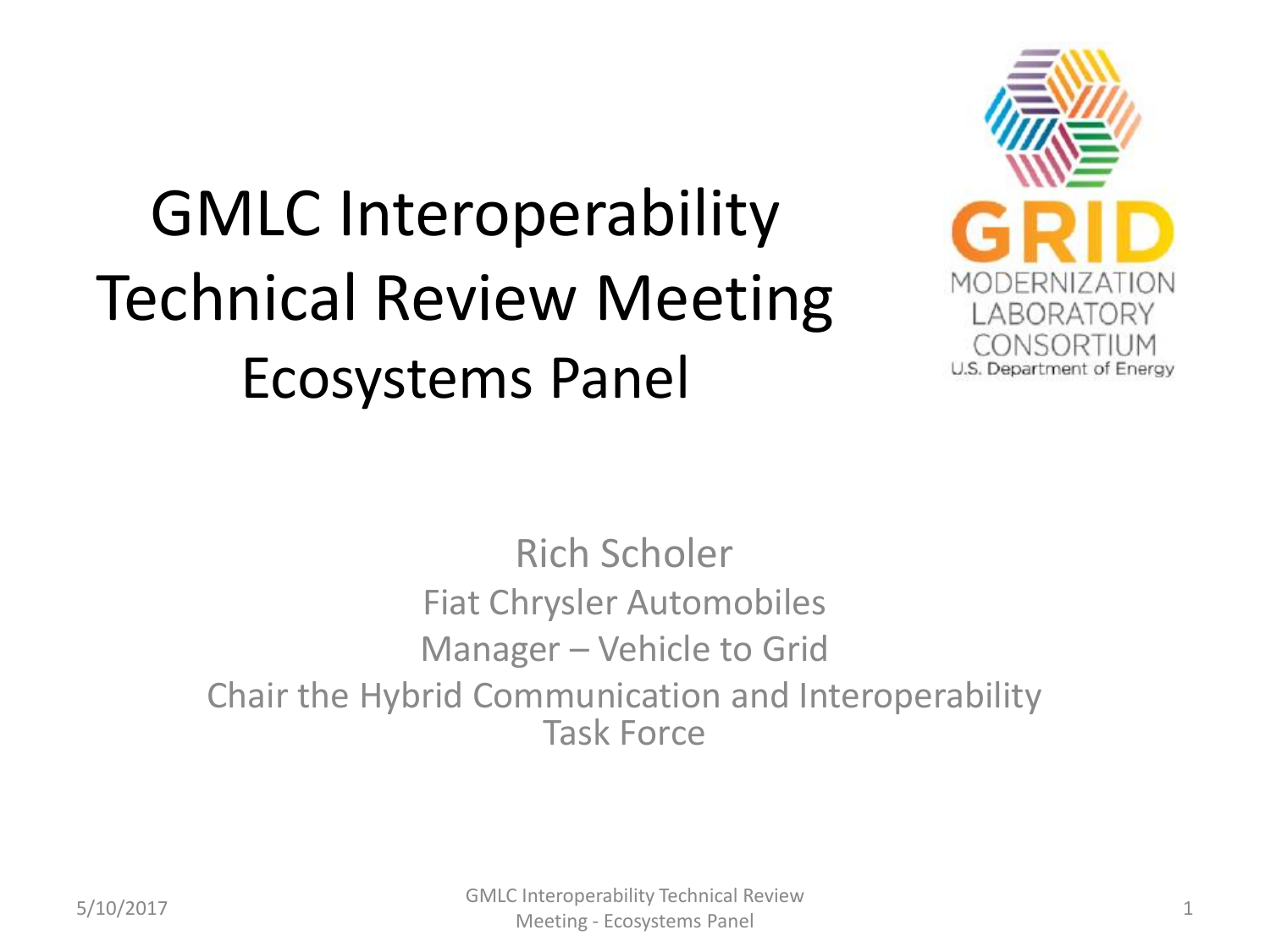#### GMLC Interoperability Technical Review Meeting Ecosystems Panel



Rich Scholer Fiat Chrysler Automobiles Manager – Vehicle to Grid Chair the Hybrid Communication and Interoperability Task Force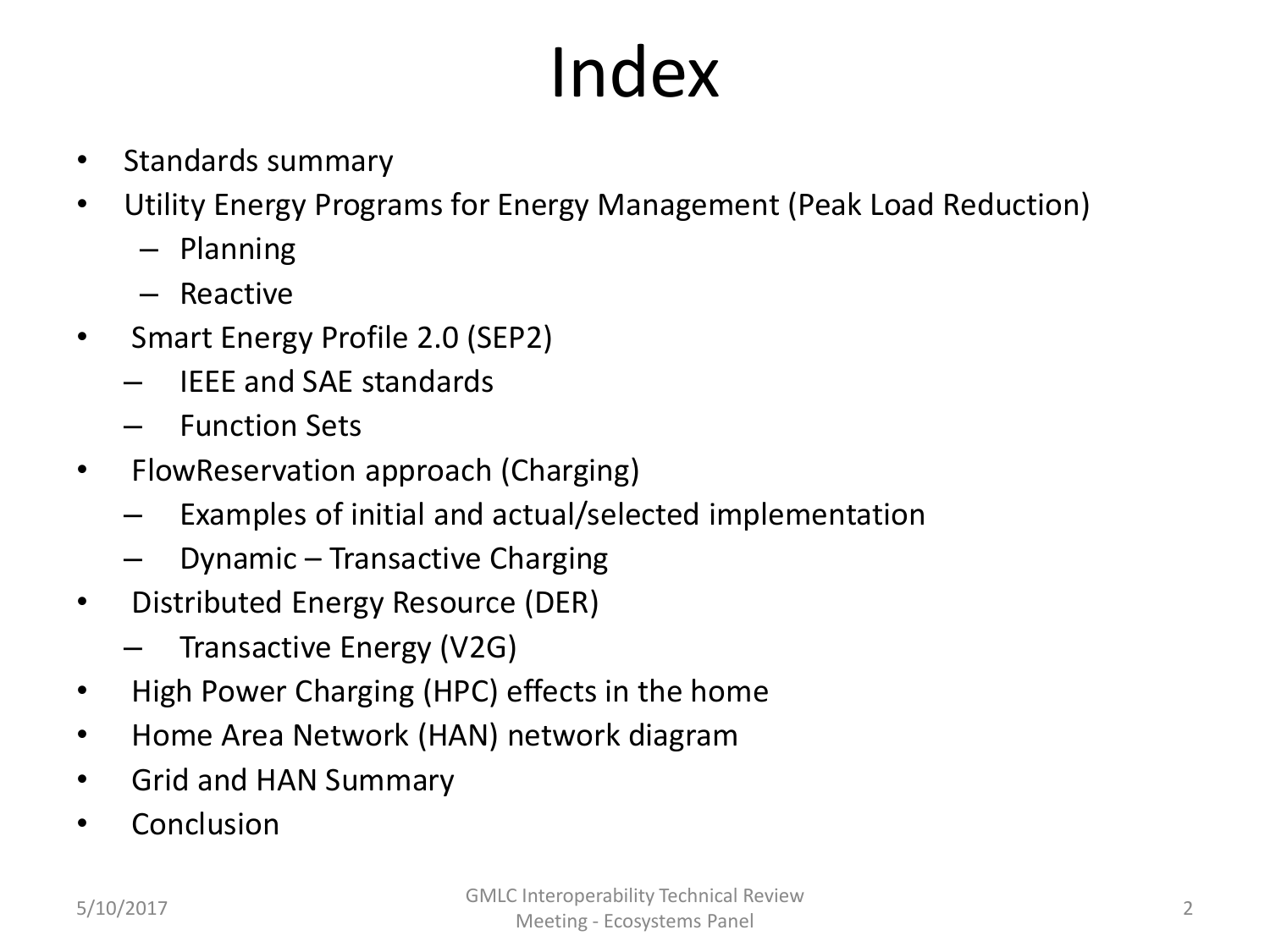# Index

- Standards summary
- Utility Energy Programs for Energy Management (Peak Load Reduction)
	- Planning
	- Reactive
- Smart Energy Profile 2.0 (SEP2)
	- IEEE and SAE standards
	- Function Sets
- FlowReservation approach (Charging)
	- Examples of initial and actual/selected implementation
	- Dynamic Transactive Charging
- Distributed Energy Resource (DER)
	- Transactive Energy (V2G)
- High Power Charging (HPC) effects in the home
- Home Area Network (HAN) network diagram
- Grid and HAN Summary
- Conclusion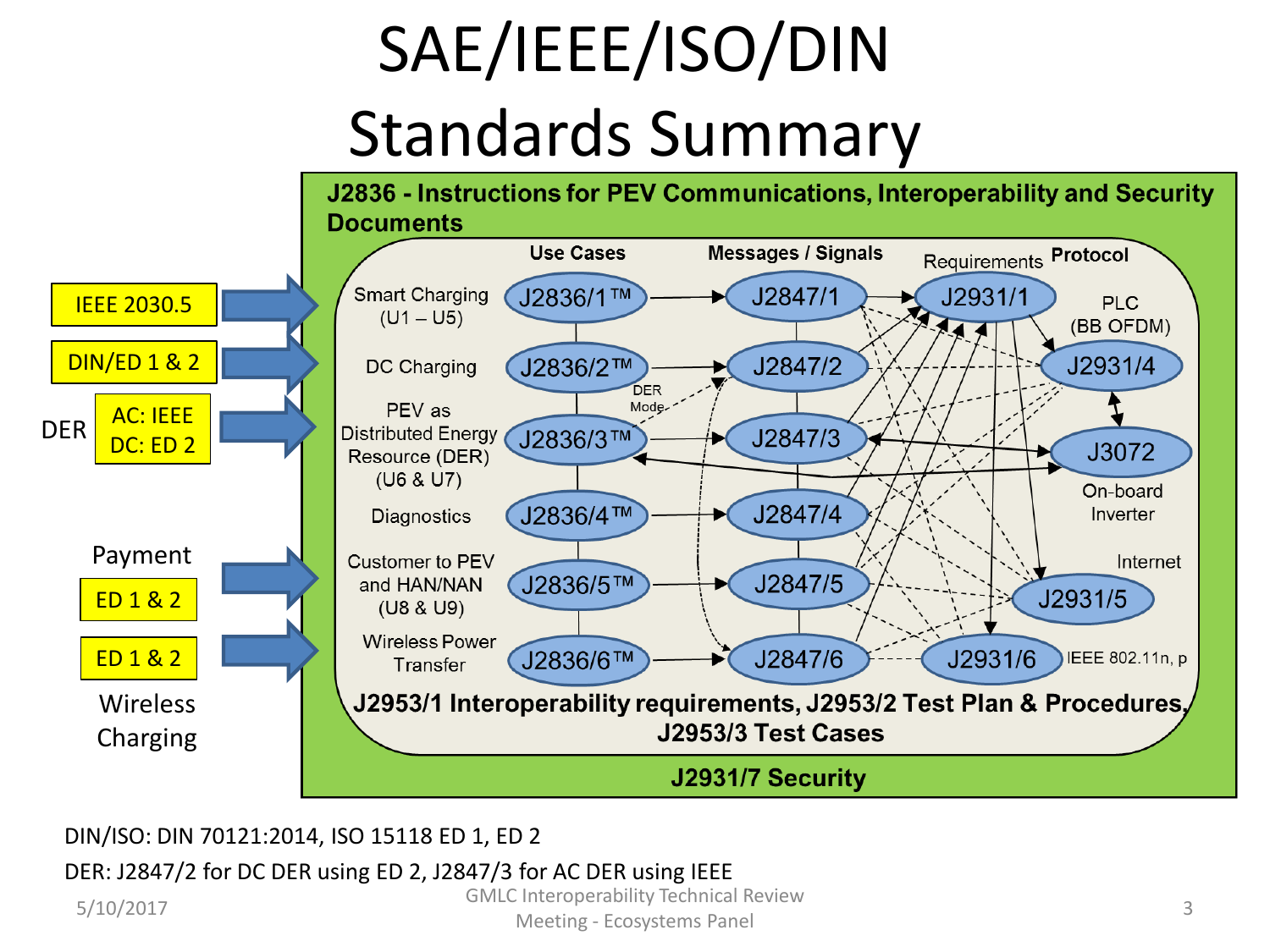# SAE/IEEE/ISO/DIN Standards Summary



DIN/ISO: DIN 70121:2014, ISO 15118 ED 1, ED 2

#### DER: J2847/2 for DC DER using ED 2, J2847/3 for AC DER using IEEE

5/10/2017 GMLC Interoperability Technical Review

Meeting - Ecosystems Panel 3<br>Meeting - Ecosystems Panel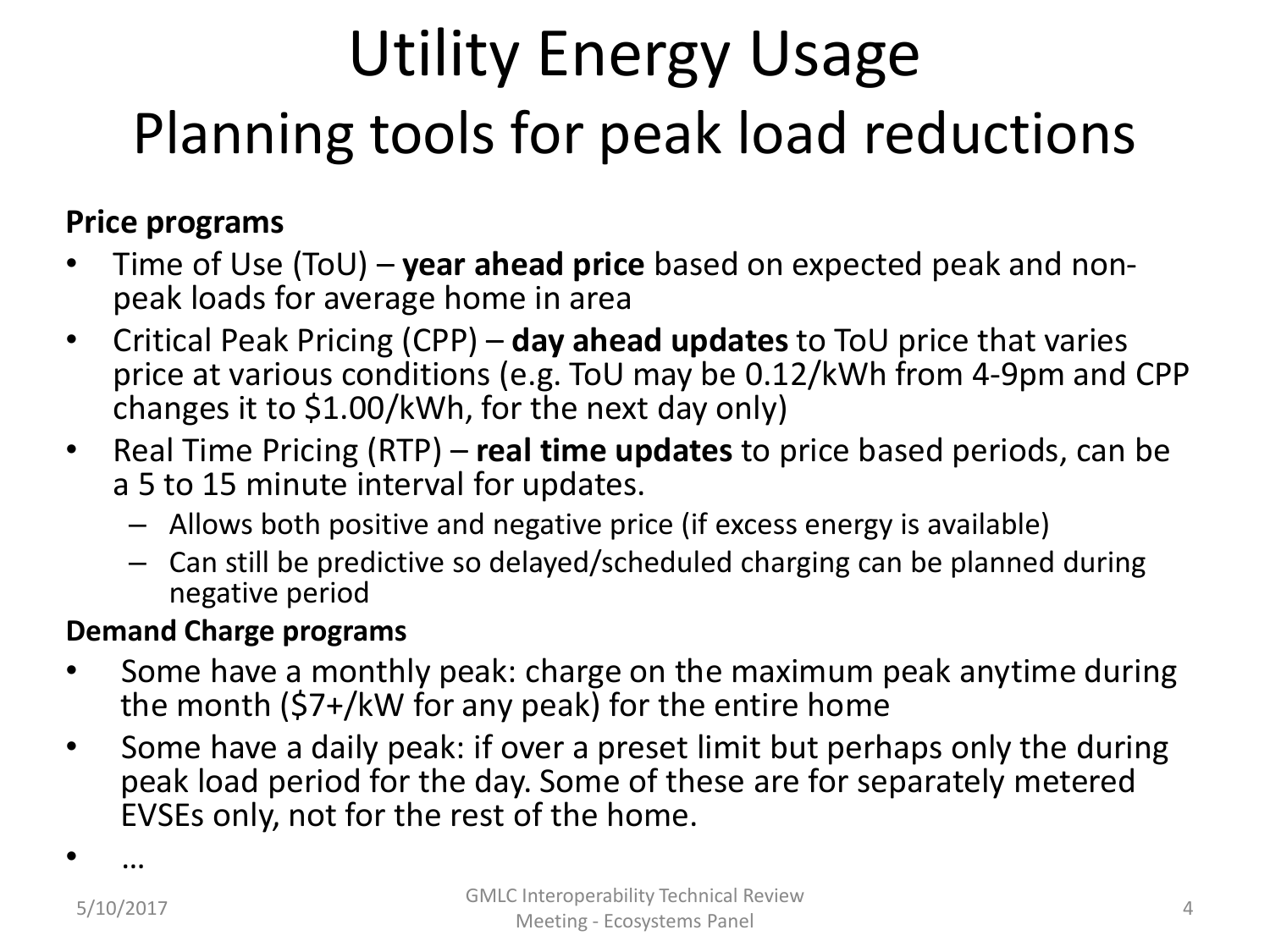#### Utility Energy Usage Planning tools for peak load reductions

#### **Price programs**

- Time of Use (ToU) **year ahead price** based on expected peak and nonpeak loads for average home in area
- Critical Peak Pricing (CPP) **day ahead updates** to ToU price that varies price at various conditions (e.g. ToU may be 0.12/kWh from 4-9pm and CPP changes it to \$1.00/kWh, for the next day only)
- Real Time Pricing (RTP) **real time updates** to price based periods, can be a 5 to 15 minute interval for updates.
	- Allows both positive and negative price (if excess energy is available)
	- Can still be predictive so delayed/scheduled charging can be planned during negative period

#### **Demand Charge programs**

- Some have a monthly peak: charge on the maximum peak anytime during the month (\$7+/kW for any peak) for the entire home
- Some have a daily peak: if over a preset limit but perhaps only the during peak load period for the day. Some of these are for separately metered EVSEs only, not for the rest of the home.

• …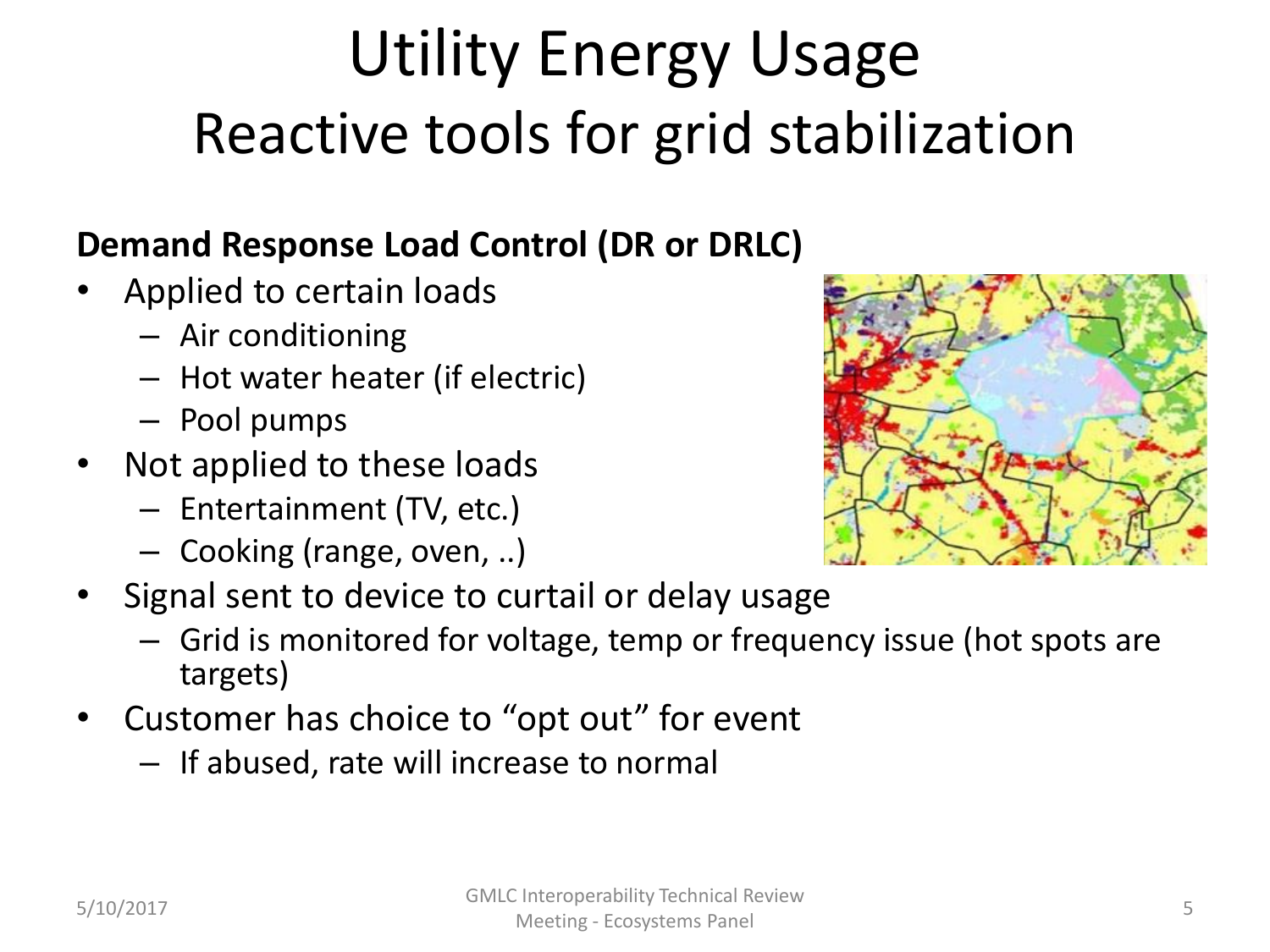#### Utility Energy Usage Reactive tools for grid stabilization

#### **Demand Response Load Control (DR or DRLC)**

- Applied to certain loads
	- Air conditioning
	- Hot water heater (if electric)
	- Pool pumps
- Not applied to these loads
	- Entertainment (TV, etc.)
	- Cooking (range, oven, ..)



- Grid is monitored for voltage, temp or frequency issue (hot spots are targets)
- Customer has choice to "opt out" for event
	- If abused, rate will increase to normal

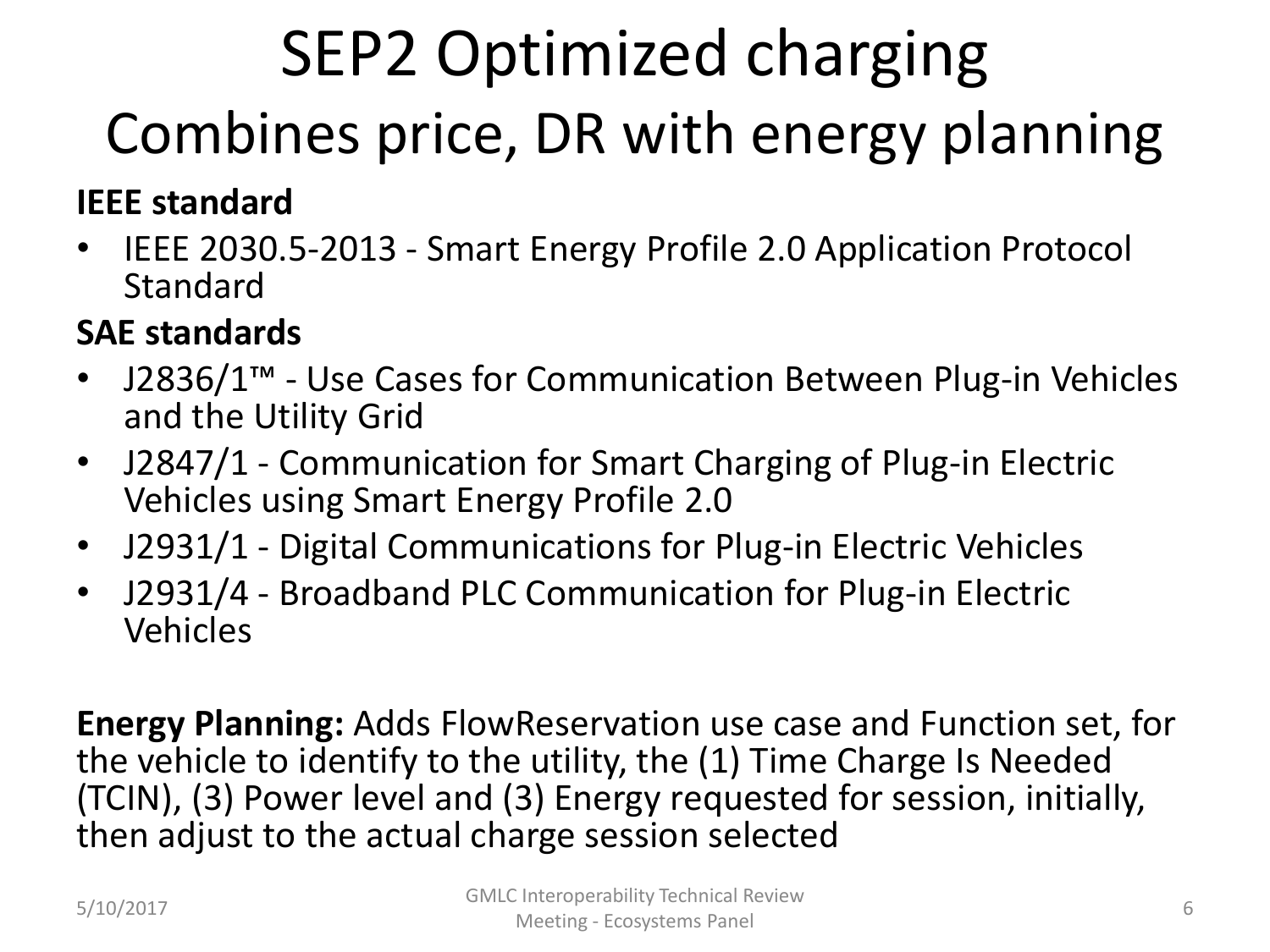## SEP2 Optimized charging Combines price, DR with energy planning

#### **IEEE standard**

• IEEE 2030.5-2013 - Smart Energy Profile 2.0 Application Protocol **Standard** 

#### **SAE standards**

- J2836/1™ Use Cases for Communication Between Plug-in Vehicles and the Utility Grid
- J2847/1 Communication for Smart Charging of Plug-in Electric Vehicles using Smart Energy Profile 2.0
- J2931/1 Digital Communications for Plug-in Electric Vehicles
- J2931/4 Broadband PLC Communication for Plug-in Electric Vehicles

**Energy Planning:** Adds FlowReservation use case and Function set, for the vehicle to identify to the utility, the (1) Time Charge Is Needed (TCIN), (3) Power level and (3) Energy requested for session, initially, then adjust to the actual charge session selected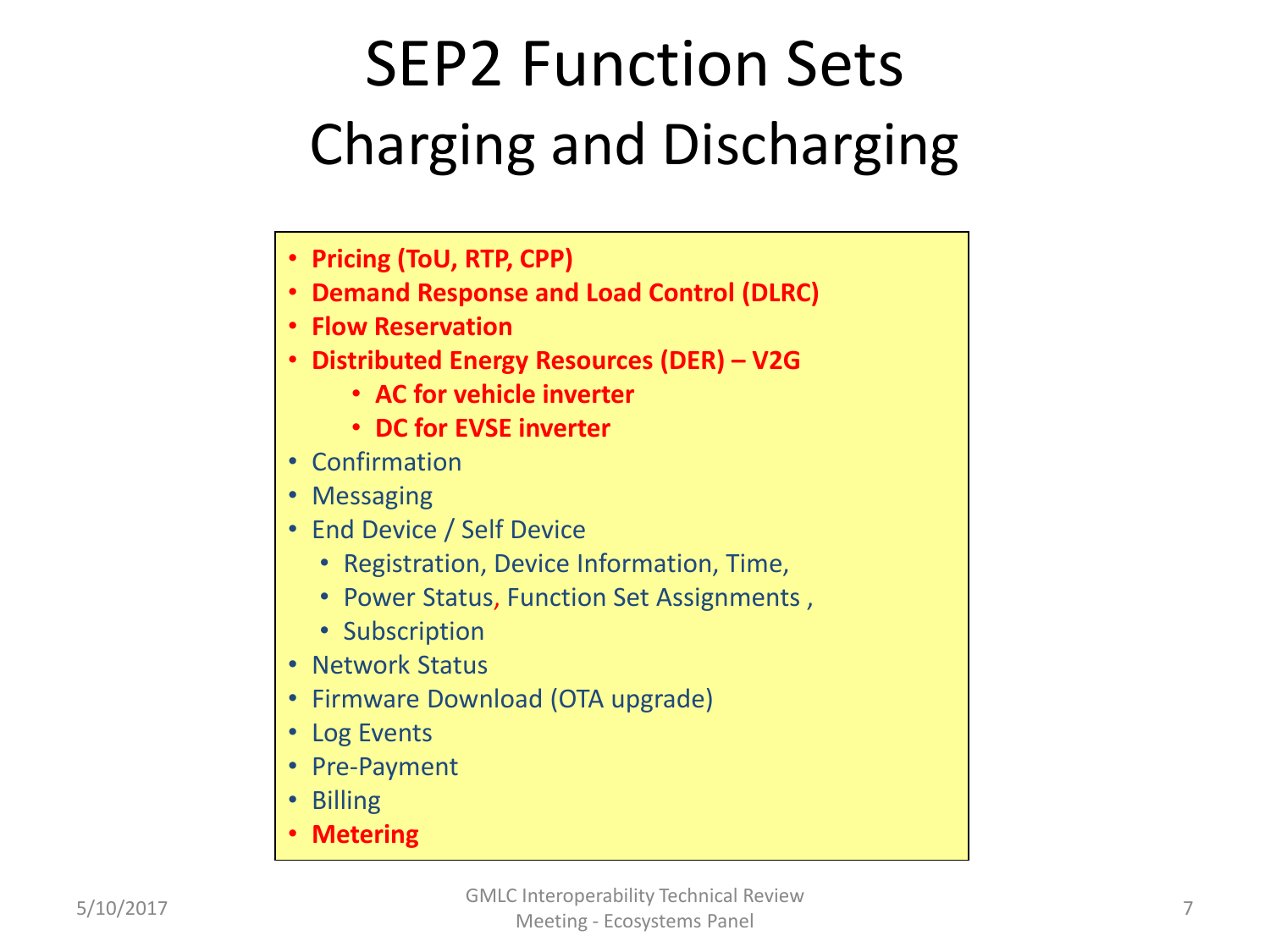#### SEP2 Function Sets Charging and Discharging

- **Pricing (ToU, RTP, CPP)**
- **Demand Response and Load Control (DLRC)**
- **Flow Reservation**
- **Distributed Energy Resources (DER) – V2G**
	- **AC for vehicle inverter**
	- **DC for EVSE inverter**
- Confirmation
- Messaging
- End Device / Self Device
	- Registration, Device Information, Time,
	- Power Status, Function Set Assignments ,
	- Subscription
- Network Status
- Firmware Download (OTA upgrade)
- Log Events
- Pre-Payment
- Billing
- **Metering**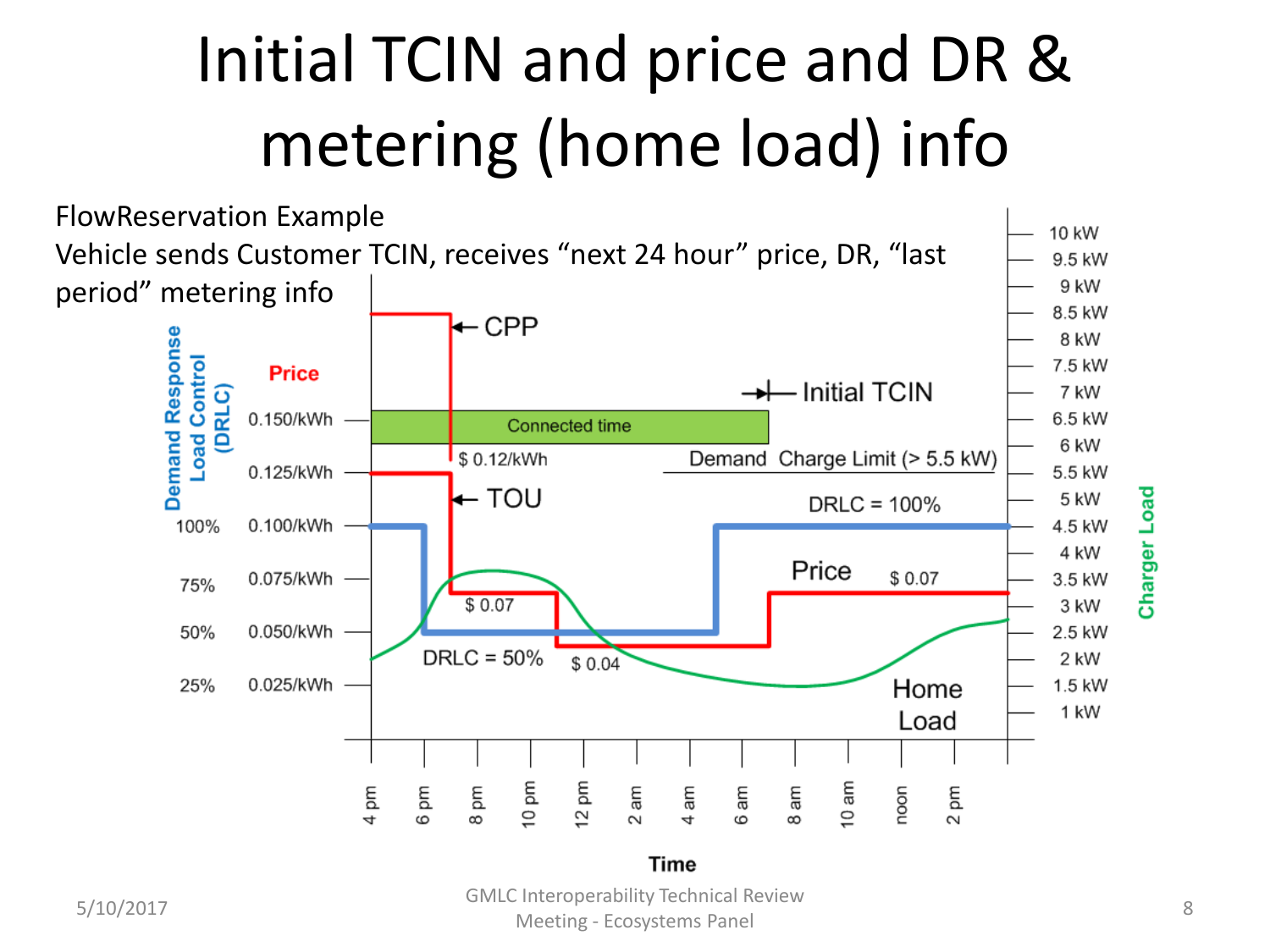## Initial TCIN and price and DR & metering (home load) info



5/10/2017 GMLC Interoperability Technical Review Meeting - Ecosystems Panel 8 and 8 and 8 and 8 and 8 and 8 and 8 and 8 and 8 and 8 and 8 and 8 and 8 and 8 and 8 and 8 and 8 and 8 and 8 and 8 and 8 and 8 and 8 and 8 and 8 and 8 and 8 and 8 and 8 and 8 and 8 and 8 and 8 a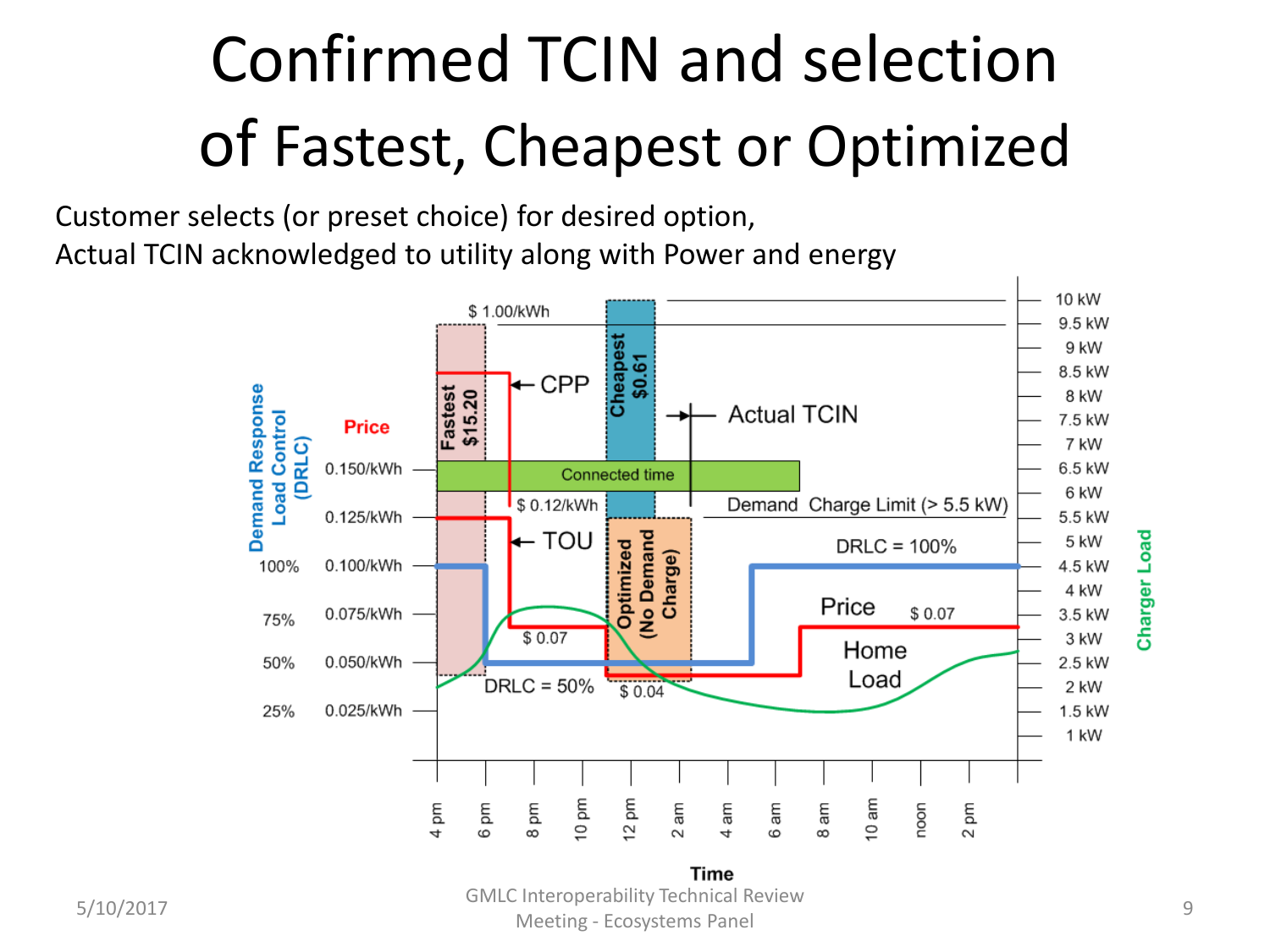## Confirmed TCIN and selection of Fastest, Cheapest or Optimized

Customer selects (or preset choice) for desired option, Actual TCIN acknowledged to utility along with Power and energy



5/10/2017 GMLC Interoperability Technical Review Meeting - Ecosystems Panel 9 and 1990 and 1990 and 1990 and 1990 and 1990 and 1990 and 1990 and 1990 and 1990  $\beta$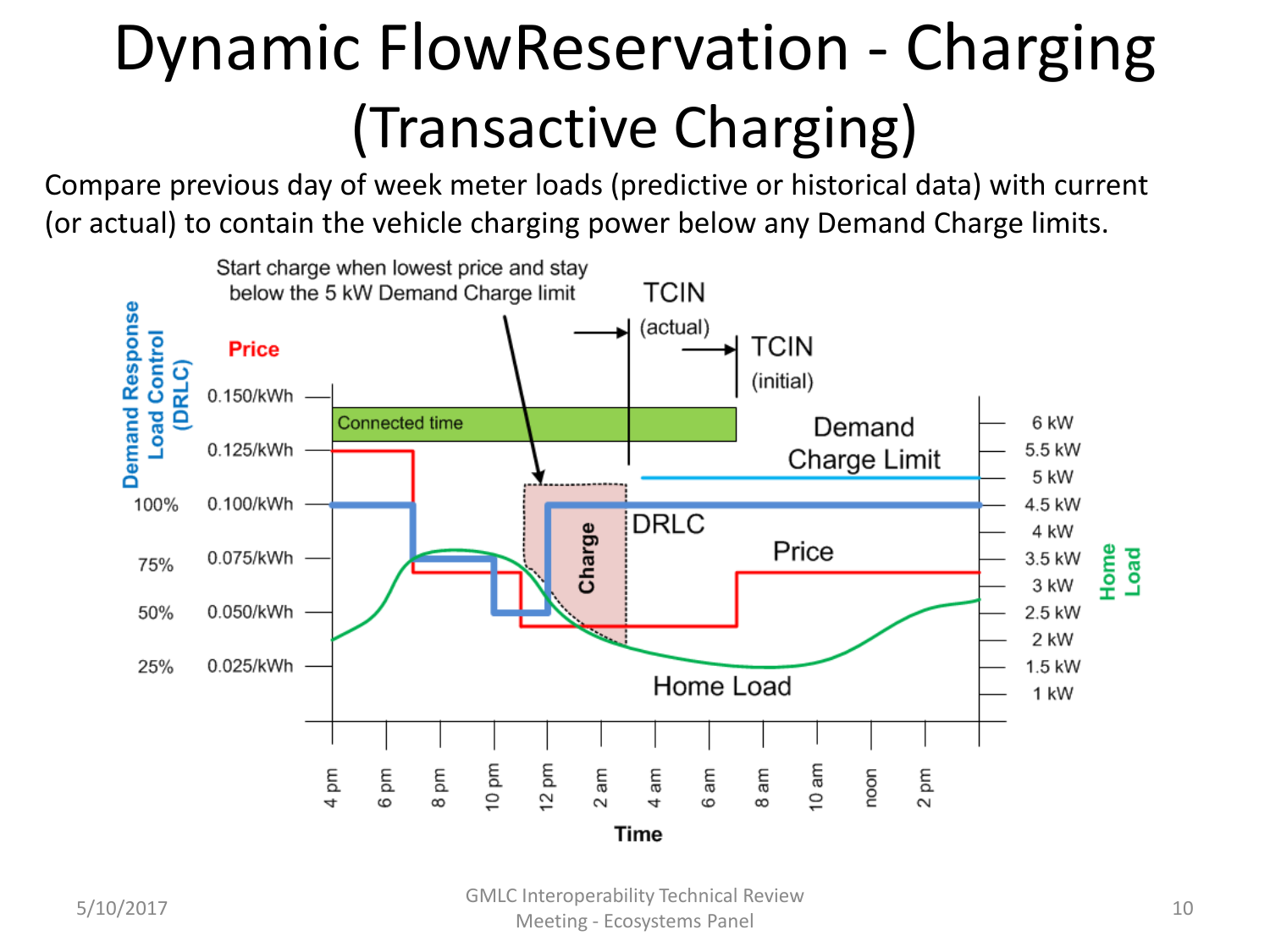### Dynamic FlowReservation - Charging (Transactive Charging)

Compare previous day of week meter loads (predictive or historical data) with current (or actual) to contain the vehicle charging power below any Demand Charge limits.

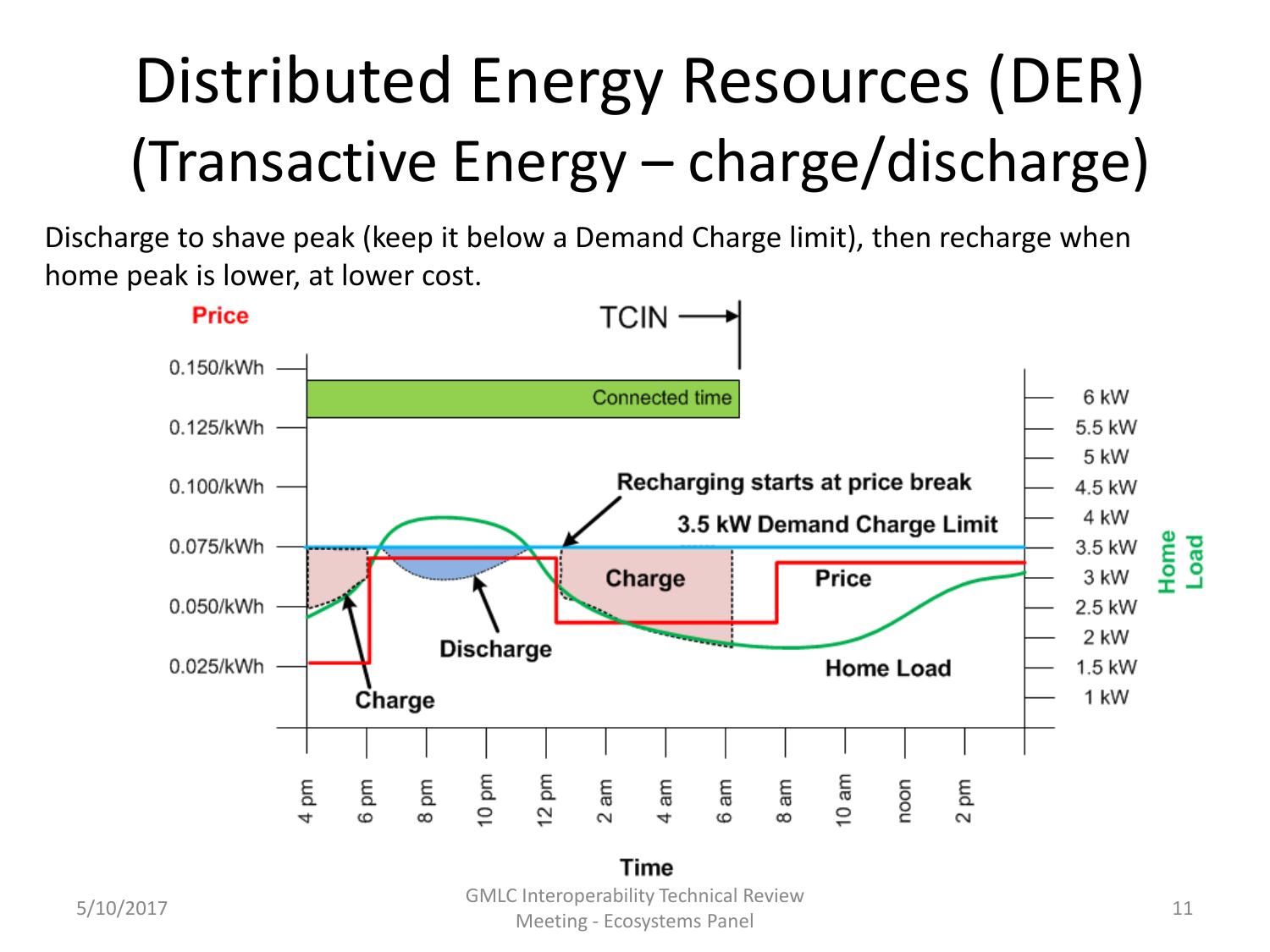## Distributed Energy Resources (DER) (Transactive Energy – charge/discharge)

Discharge to shave peak (keep it below a Demand Charge limit), then recharge when home peak is lower, at lower cost.

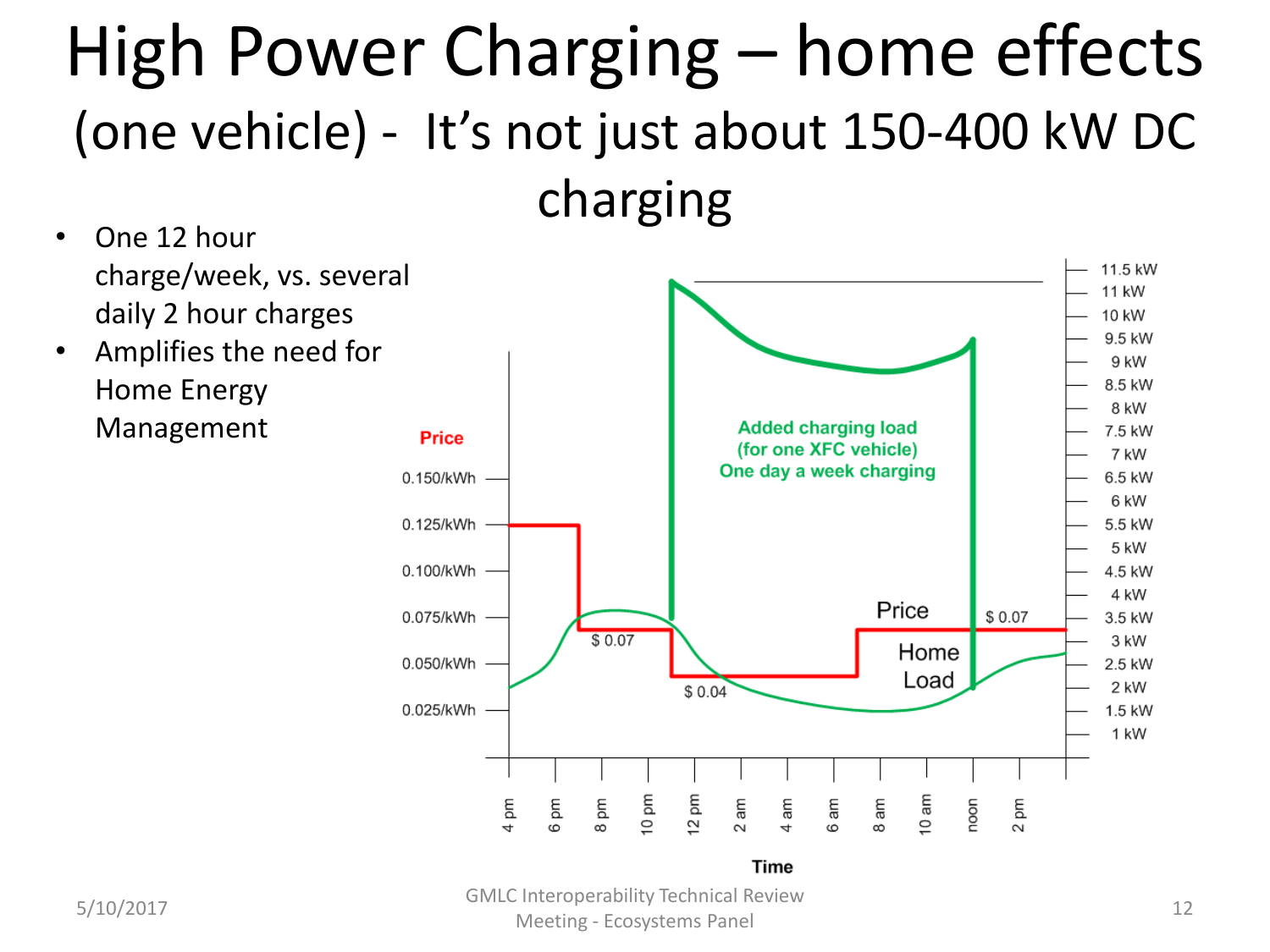#### High Power Charging – home effects (one vehicle) - It's not just about 150-400 kW DC charging

- One 12 hour charge/week, vs. several daily 2 hour charges
- Amplifies the need for Home Energy Management



5/10/2017 GMLC Interoperability Technical Review Meeting - Ecosystems Panel 12<br>Meeting - Ecosystems Panel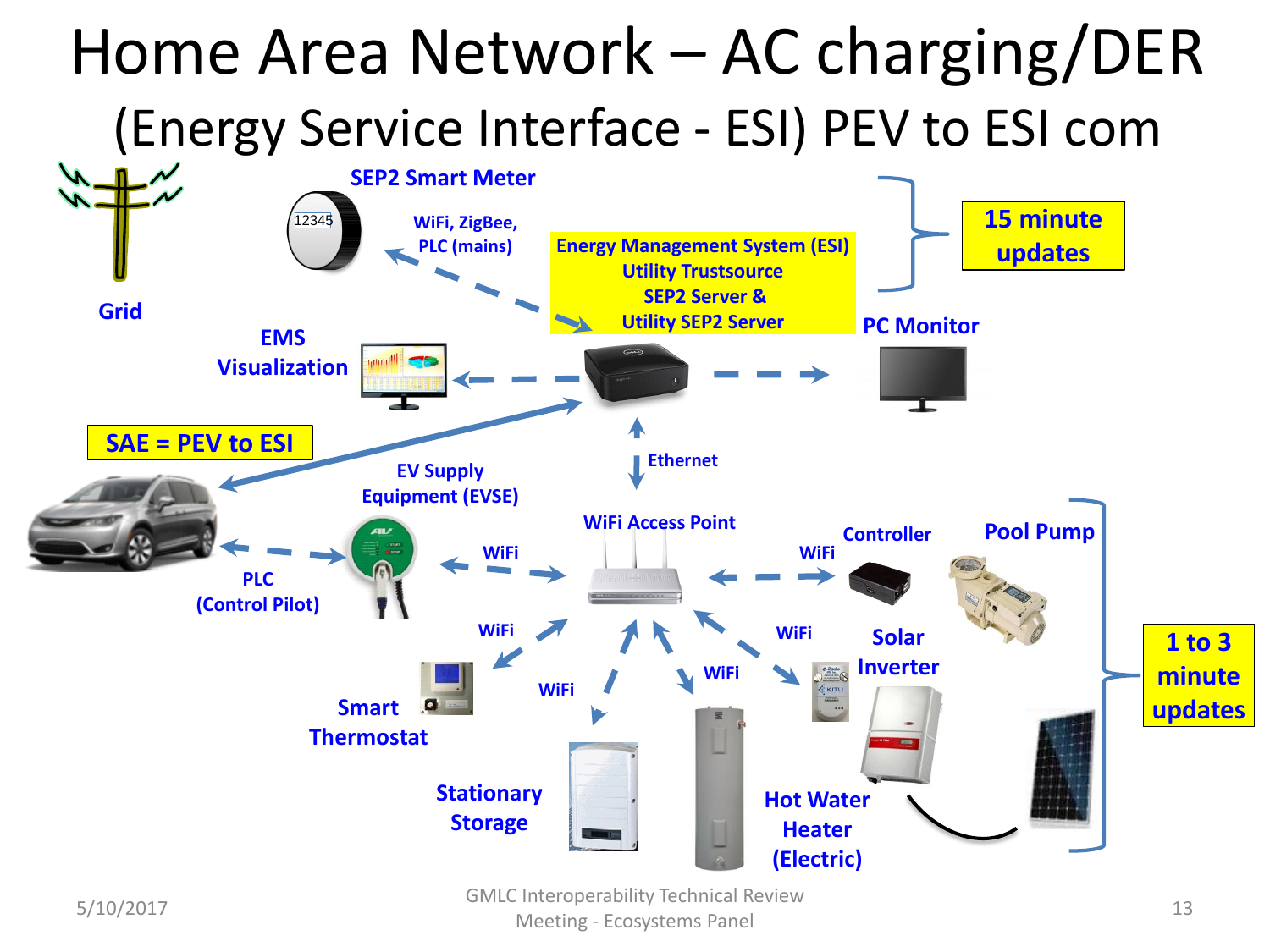

5/10/2017 GMLC Interoperability Technical Review Meeting - Ecosystems Panel 13<br>
Meeting - Ecosystems Panel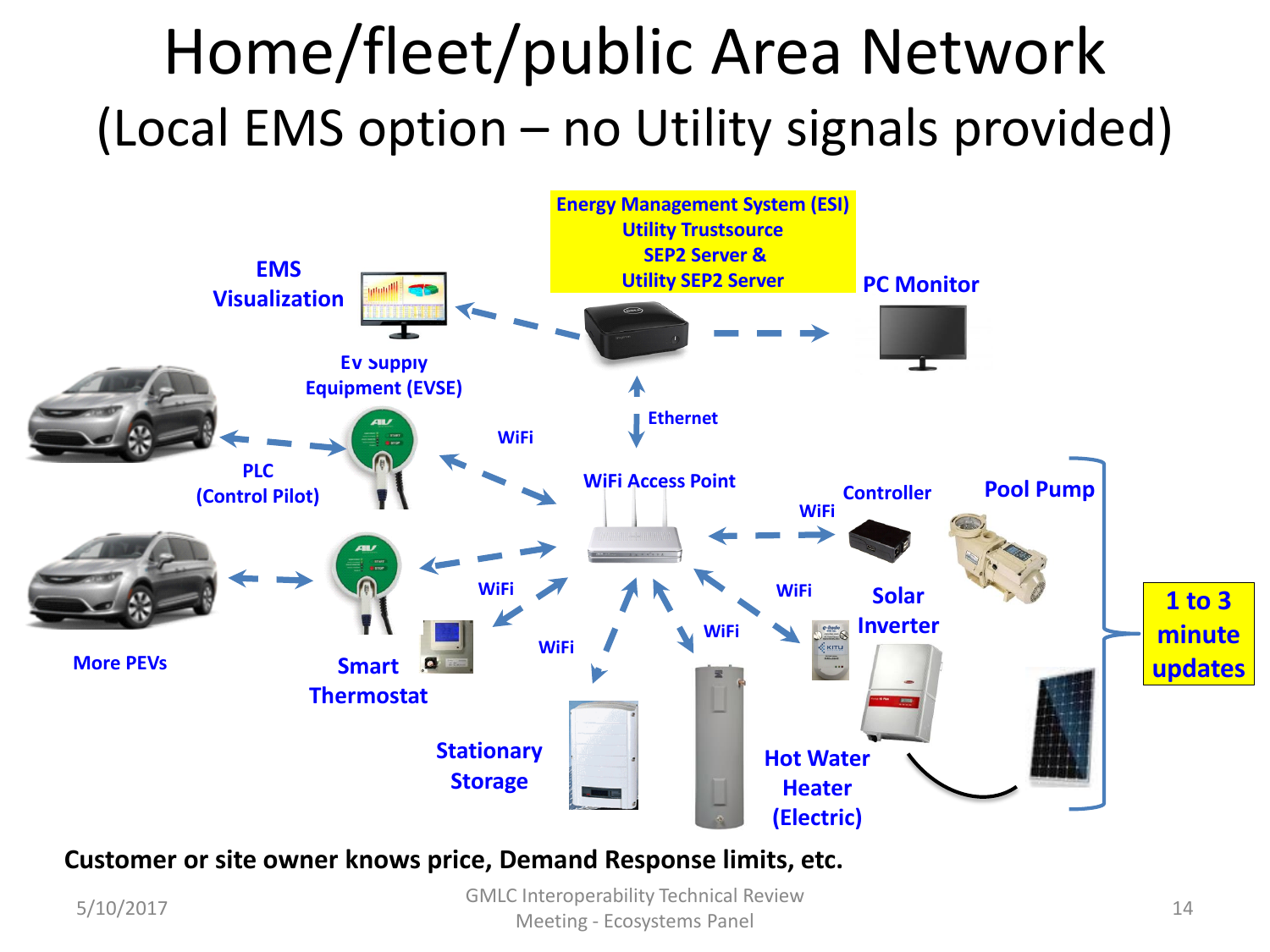#### Home/fleet/public Area Network (Local EMS option – no Utility signals provided)



#### **Customer or site owner knows price, Demand Response limits, etc.**

5/10/2017 GMLC Interoperability Technical Review Meeting - Ecosystems Panel 14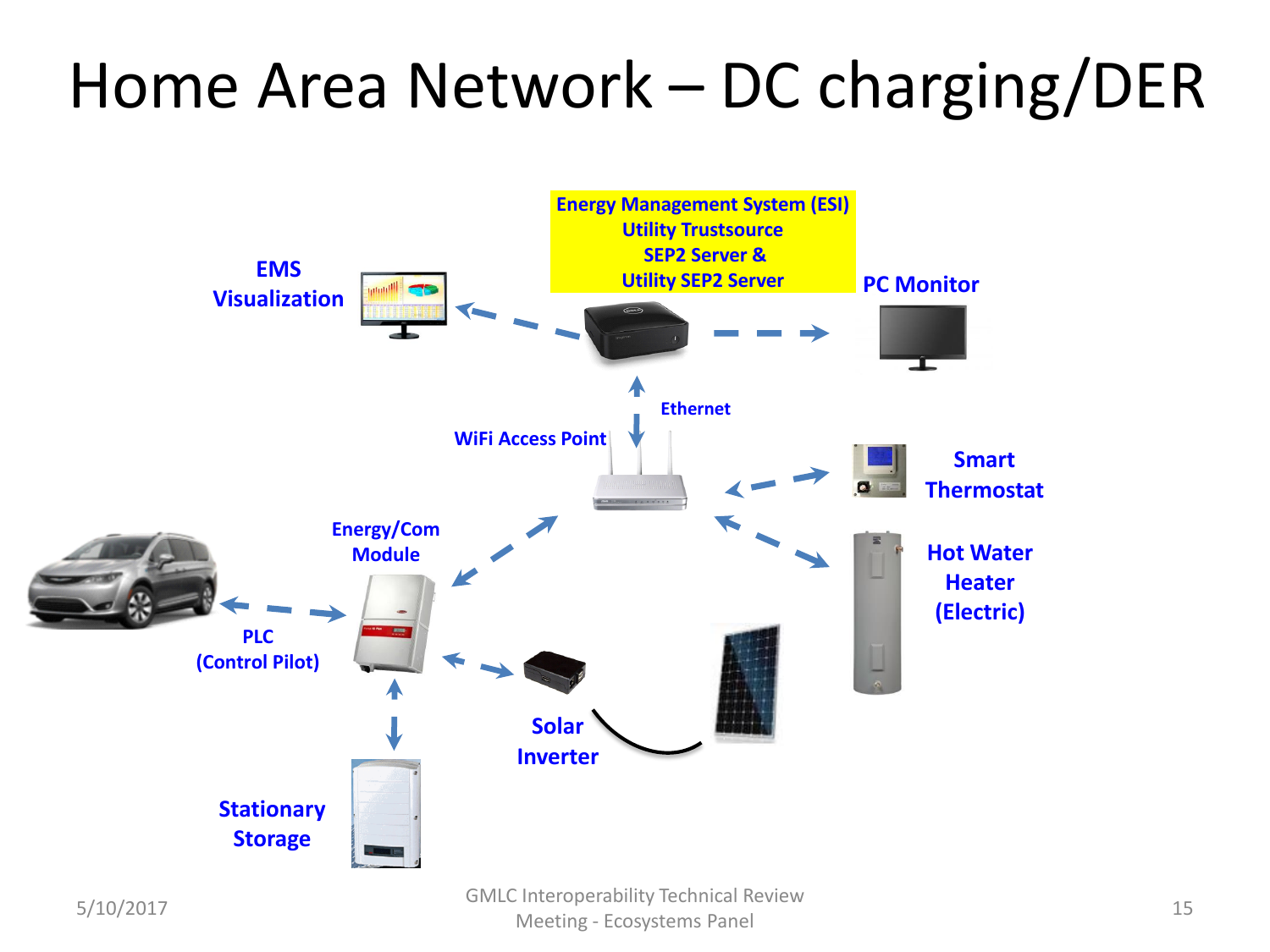#### Home Area Network – DC charging/DER

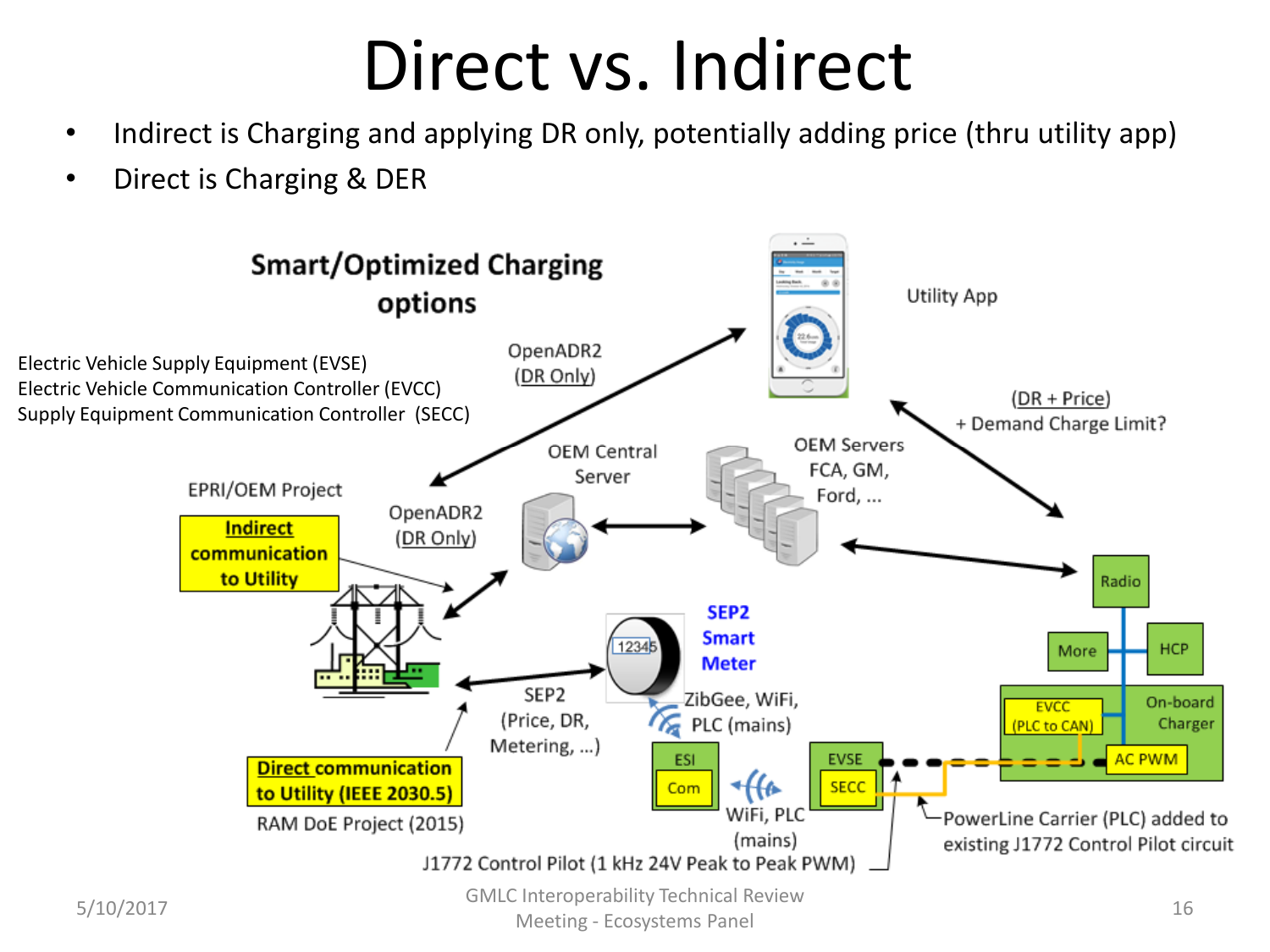#### Direct vs. Indirect

- Indirect is Charging and applying DR only, potentially adding price (thru utility app)
- Direct is Charging & DER

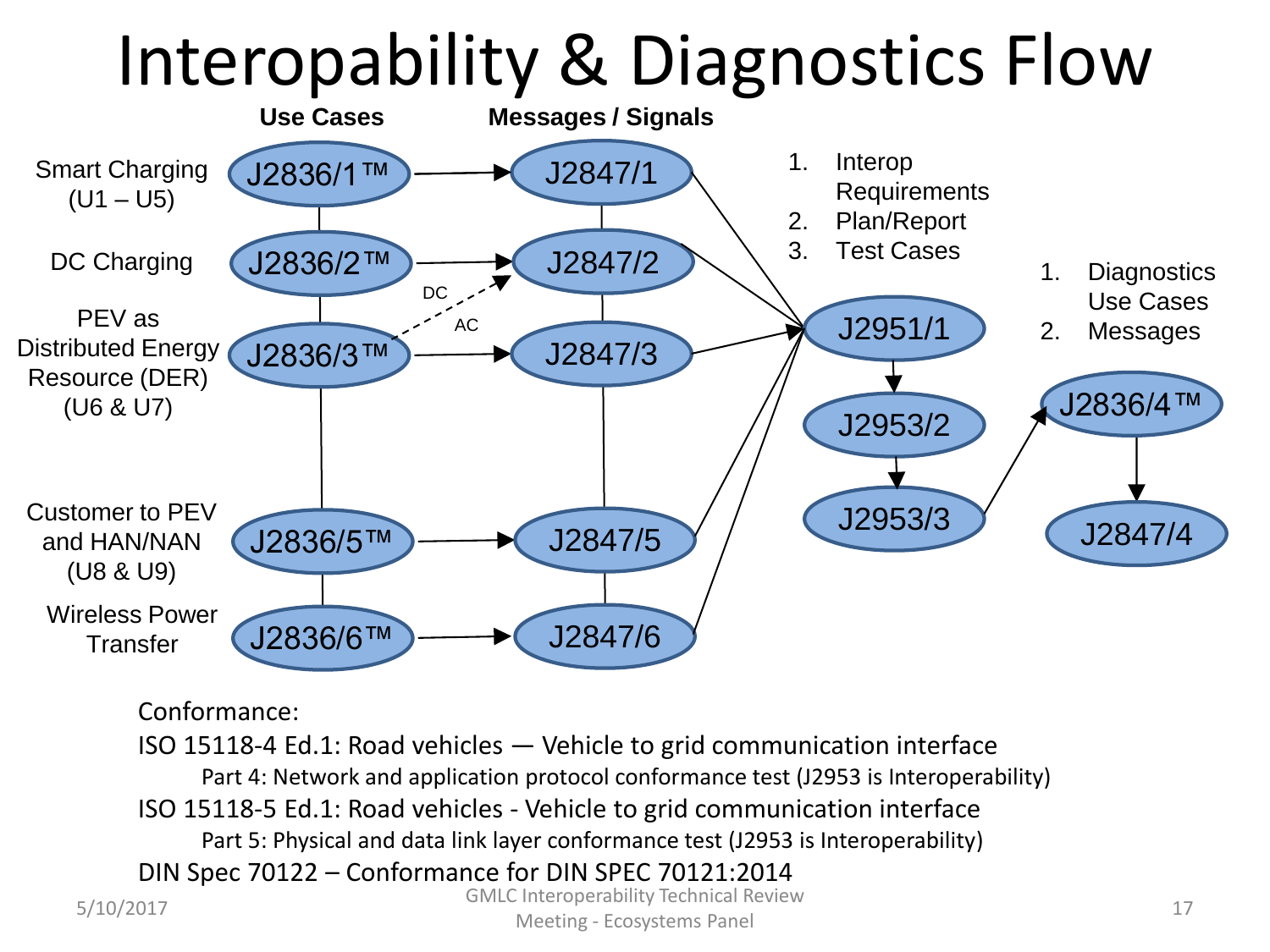# Interopability & Diagnostics Flow



Conformance:

5/10/2017 GMLC Interoperability Technical Review Meeting - Ecosystems Panel 17<br>
Meeting - Ecosystems Panel ISO 15118-4 Ed.1: Road vehicles — Vehicle to grid communication interface Part 4: Network and application protocol conformance test (J2953 is Interoperability) ISO 15118-5 Ed.1: Road vehicles - Vehicle to grid communication interface Part 5: Physical and data link layer conformance test (J2953 is Interoperability) DIN Spec 70122 – Conformance for DIN SPEC 70121:2014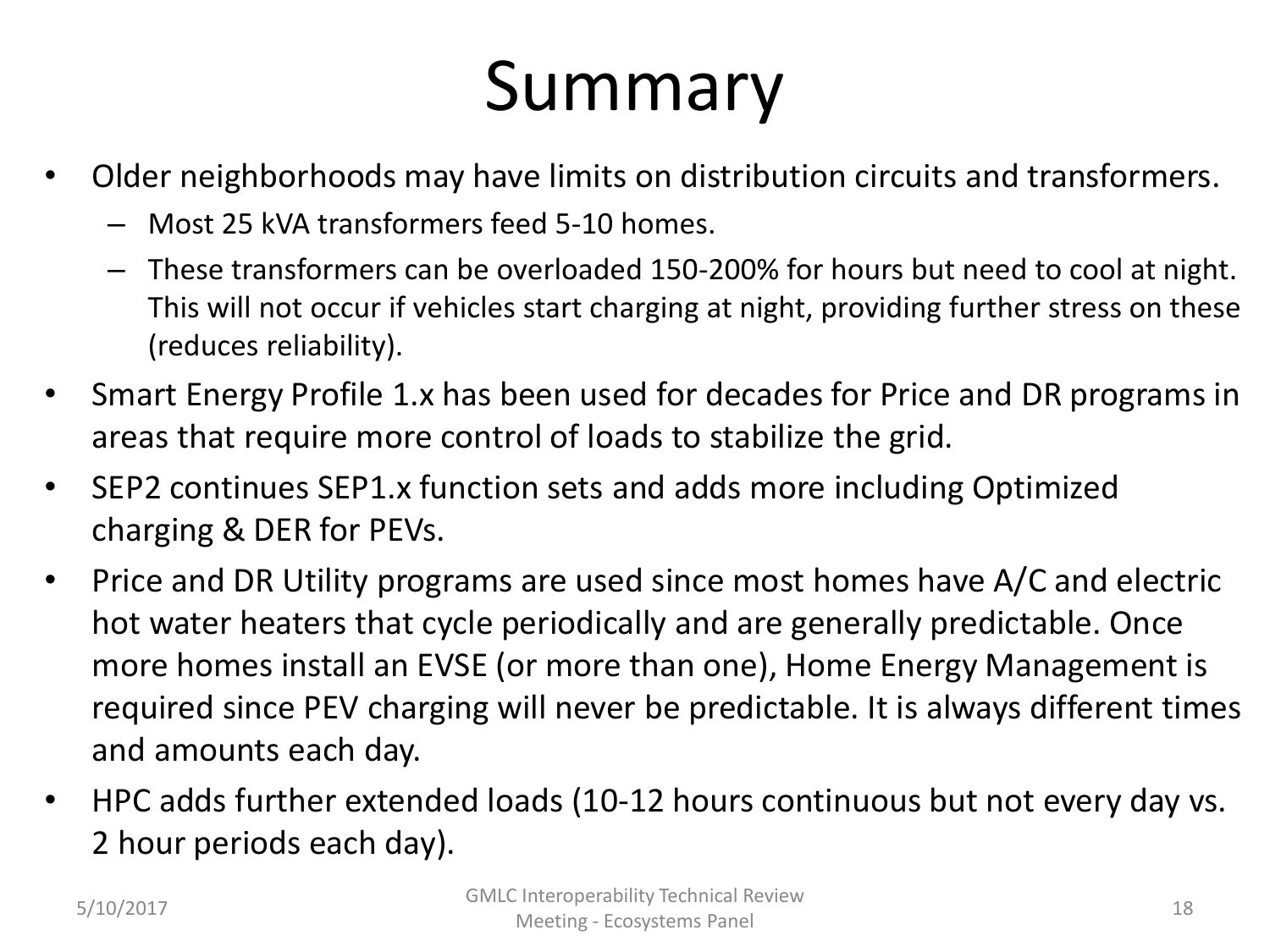# Summary

- Older neighborhoods may have limits on distribution circuits and transformers.
	- Most 25 kVA transformers feed 5-10 homes.
	- These transformers can be overloaded 150-200% for hours but need to cool at night. This will not occur if vehicles start charging at night, providing further stress on these (reduces reliability).
- Smart Energy Profile 1.x has been used for decades for Price and DR programs in areas that require more control of loads to stabilize the grid.
- SEP2 continues SEP1.x function sets and adds more including Optimized charging & DER for PEVs.
- Price and DR Utility programs are used since most homes have A/C and electric hot water heaters that cycle periodically and are generally predictable. Once more homes install an EVSE (or more than one), Home Energy Management is required since PEV charging will never be predictable. It is always different times and amounts each day.
- HPC adds further extended loads (10-12 hours continuous but not every day vs. 2 hour periods each day).